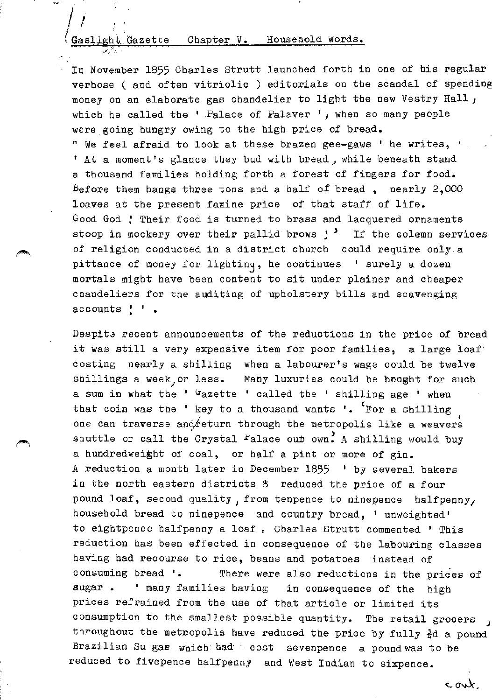# Gaslight Gazette Chapter V. Household Words.  $\overline{z}$

In November 1855 Charles Strutt launched forth in one of his regular verbose ( and often vitriolic ) editorials on the scandal of spending money on an elaborate gas chandelier to light the new Vestry Hall *<sup>J</sup>* which he called the  $\cdot$  Palace of Palaver  $\cdot$ , when so many people were going hungry owing to the high price of bread. " We feel afraid to look at these brazen gee-gaws ' he writes, '. ' At a moment's glance they bud with bread, while beneath stand a thousand families holding forth a forest of fingers for food. Before them hangs three tons and a half of bread, nearly  $2,000$ loaves at the present famine price of that staff of life. Good God *:* Their food is turned to brass and lacquered ornaments stoop in mockery over their pallid brows ! <sup>></sup> If the solemn services of religion conducted in a district church could require only,a pittance of money for lightinq, he continues ' surely a dozen mortals might have been content to sit under plainer and cheaper chandeliers for the auditing of upholstery bills and scavenging accounts ! ' .

Despite recent announcements of the reductions in the price of bread it was still a very expensive item for poor families, a large loaf· costing nearly a shilling when a labourer's wage could be twelve shillings a week, or less. Many luxuries could be bought for such a sum in what the ' Gazette ' called the ' shilling age ' when that coin was the ' key to a thousand wants '. <sup>'</sup>For a shilling one can traverse and return through the metropolis like a weavers shuttle or call the Crystal  $r$ alace out own. A shilling would buy a hundredwei§ht of coal, or half a pint or more of gin. A reduction a month later in December 1855 ' by several bakers in the north eastern districts & reduced the price of a four pound loaf, second quality, from tenpence to ninepence halfpenny, household bread to ninepence and country bread, ' unweighted' to eightpence halfpenny a loaf • Charles Strutt commented ' This reduction has been effected in consequence of the labouring classes having bad recourse to rice, beans and potatoes instead of consuming bread '. There were also reductions in the prices of sugar • ' many families having in consequence of the high prices refrained from the use of that article or limited its consumption to the smallest possible quantity. The retail grocers throughout the meteopolis have reduced the price by fully  $\frac{3}{4}d$  a pound Brazilian Su gar  $which$  had  $\rightarrow$  cost sevenpence a pound was to be reduced to fivepence halfpenny and West Indian to sixpence.

cont,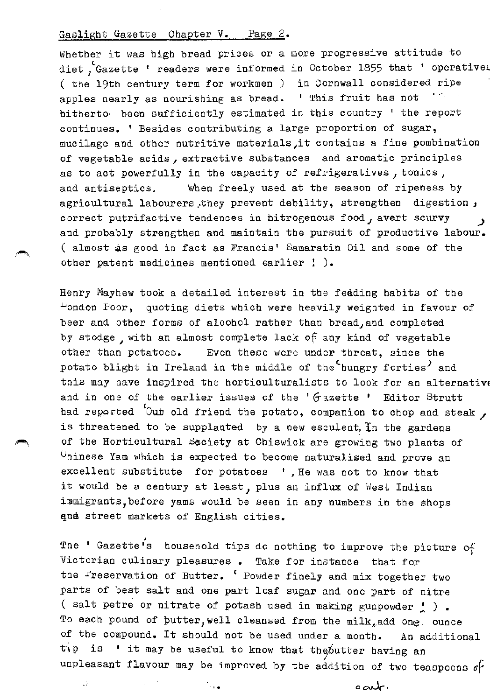Whether it was high bread prices or a more progressive attitude to diet, Gazette ' readers were informed in October 1855 that ' operatives ( the 19th century term for workmen ) in Cornwall considered ripe apples nearly as nourishing as bread. ' This fruit has not hitherto, been sufficiently estimated in this country ' the report continues. ' Besides contributing a large proportion of sugar, mucilage and other nutritive materials it contains a fine pombination of vegetable acids, extractive substances and aromatic principles as to act powerfully in the capacity of refrigeratives *1* tonics, and antiseptics. When freely used at the season of ripeness by agricultural labourers, they prevent debility, strengthen digestion, correct putrifactive tendences in bitrogenous food, avert scurvy and probably strengthen and maintain the pursuit of productive labour. ( almost as good in fact as Francis' Samaratin Oil and some of the other patent medicines mentioned earlier ! ).

Henry Mayhew took a detailed interest in the feeding habits of the ~ondon Poor, quoting diets which were heavily weighted in favour of beer and other forms of alcohol rather than bread, and completed by stodge, with an almost complete lack of any kind of vegetable other than potatoes. Even these were under threat, since the potato blight in Ireland in the middle of the hungry forties<sup>)</sup> and this may have inspired the horticulturalists to look for an alternative and in one of the earlier issues of the ' $G$  azette ' Editor Strutt had reported 'Our old friend the potato, companion to chop and steak  $\prime$ is threatened to be supplanted by a new esculent. In the gardens of the Horticultural Saciety at Chiswick are growing two plants of 0hinese Yam which is expected to become naturalised and prove an excellent substitute for potatoes ' , He was not to know that it would be a century at least, plus an influx of West Indian immigrants, before yams would be seen in any numbers in the shops and street markets of English cities.

The ' Gazette's household tips do nothing to improve the picture  $\mathsf{o}\xi$ Victorian culinary pleasures • Take for instance that for the Preservation of Butter. ' Powder finely and mix together two parts of best salt and one part loaf sugar and one part of nitre ( salt petre or nitrate of potash used in making gunpowder  $\prime$  ). To each pound of putter, well cleansed from the milk, add one. ounce of the compound. It should not be used under a month. An additional tip is ' it may be useful to know that the butter having an unpleasant flavour may be improved by the addition of two teaspoons *6F*  . l.

 $\circ$ art.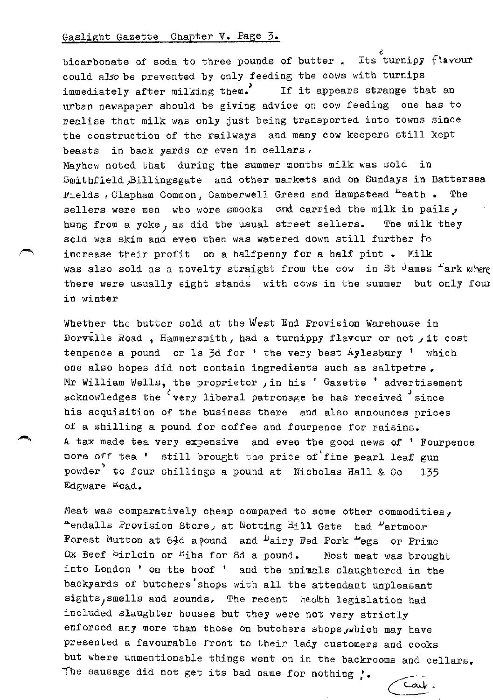bicarbonate of soda to three pounds of butter . Its turnipy  $\int$  lavour could aJsobe prevented by only feeding the cows with turnips immediately after milking them.<sup>7</sup> If it appears strange that an urban newspaper should be giving advice on cow feeding one has to realise that milk was only just being transported into towns since the construction of the railways and many cow keepers still kept beasts in back yards or even in cellars. Mayhew noted that during the summer months milk was sold in Smithfield,Billingsgate and other markets and on Sundays in Battersea Fields, Clapham Common, Camberwell Green and Hampstead <sup>n</sup>eath . The sellers were men who wore smocks and carried the milk in pails, hung from a yoke, as did the usual street sellers. The milk they sold was skim and even then was watered down still further to increase their profit on a halfpenny for a half pint • Milk was also sold as a novelty straight from the cow in St  $\theta$  ames  $\pm$  ark where there were usually eight stands with cows in the summer but only fow in winter

Whether the butter sold at the West End Provision Warehouse in Dorvulle Road, Hammersmith, had a turnippy flavour or not  $j$  it cost tenpence a pound or ls  $3d$  for  $'$  the very best Aylesbury  $'$  which one also hopes did not contain ingredients such as saltpetre , Mr William Wells, the proprietor in his ' Gazette ' advertisement acknowledges the 'very liberal patronage he has received 'since his acquisition of the business there and also announces prices of a shilling a pound for coffee and fourpence for raisins. A tax made tea very expensive and even the good news of ' Fourpence more off tea ' still brought the price of fine pearl leaf gun powder<sup>?</sup> to four shillings a pound at Nicholas Hall & Co 135 Edgware Koad.

Meat was comparatively cheap compared to some other commodities, Aendalls Provision Store, at Notting Hill Gate had  $u$ artmoo.r Forest Mutton at  $6\frac{1}{2}d$  apound and  $\mu$ airy Fed Pork "egs or Prime" Ox Beef  $Spin$  or  $K$  ibs for 8d a pound. Most meat was brought into London ' on the hoof ' and the animals slaughtered in the backyards of butchers'shops with all the attendant unpleasant sights, smells and sounds. The recent heath legislation had included slaughter houses but they were not very strictly enforced any more than those on butchers shops, which may have presented a favourable front to their lady customers and cooks but where unmentionable things went on in the backrooms and cellars. The sausage did not get its bad name for nothing  $, \cdot$ .

Carl 2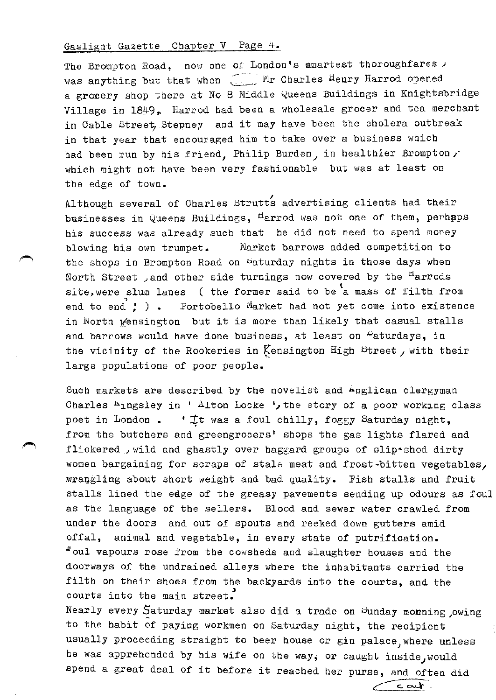The Brompton Road, now one of London's mmartest thoroughfares  $\prime$ was anything but that when  $\Box$  Mr Charles Henry Harrod opened a groxery shop there at No 8 Middle Queens Buildings in Knightsbridge Village in 1849, Harrod had been a wholesale grocer and tea merchant in Cable Street, Stepney and it may have been the cholera outbreak in that year that encouraged him to take over a business which had been run by his friend, Philip Burden, in healthier Brompton, which might not have been very fashionable but was at least on the edge of town.

Although several of Charles Strutts advertising clients had their basinesses in Queens Buildings, <sup>H</sup>arrod was not one of them, perhaps his success was already such that he did not need to spend money blowing his own trumpet. Market barrows added competition to the shops in Brompton Road on Daturday nights in those days when North Street , and other side turnings now covered by the <sup>H</sup>arrods site, were slum lanes ( the former said to be a mass of filth from end to end  $\ddot{ }$  ). Portobello Market had not yet come into existence in North <sub>K</sub>ensington but it is more than likely that casual stalls and barrows would have done business, at least on "aturdays, in the vicinity of the Rookeries in Kensington High Street, with their large populations of poor people.

Such markets are described by the novelist and Anglican clergyman Charles Aingsley in ' Alton Locke ', the story of a poor working class poet in London.  $\mathbf{I}$ t was a foul chilly, foggy Saturday night, from the butchers and greengrocers' shops the gas lights flared and flickered , wild and ghastly over haggard groups of slip•shod dirty women bargaining for scraps of stale meat and frost~bitten vegetables, wrangling about short weight and bad quality. Fish stalls and fruit stalls lined the edge of the greasy pavements sending up odours as foul as the language of the sellers. Blood and sewer water crawled from under the doors and out of spouts and reeked down gutters amid offal, animal and vegetable, in every state of putrification. "oul vapours rose from the cowsheds and slaughter houses and the doorways of the undrained alleys where the inhabitants carried the filth on their shoes from the backyards into the courts, and the courts into the main street.

Nearly every Saturday market also did a trade on Sunday monning , owing to the habit of paying workmen on Saturday night, the recipient usually proceeding straight to beer house or gin palace, where unless he was apprehended by his wife on the way, or caught inside, would spend a great deal of it before it reached her purse, and often did

 $\sim$   $\sim$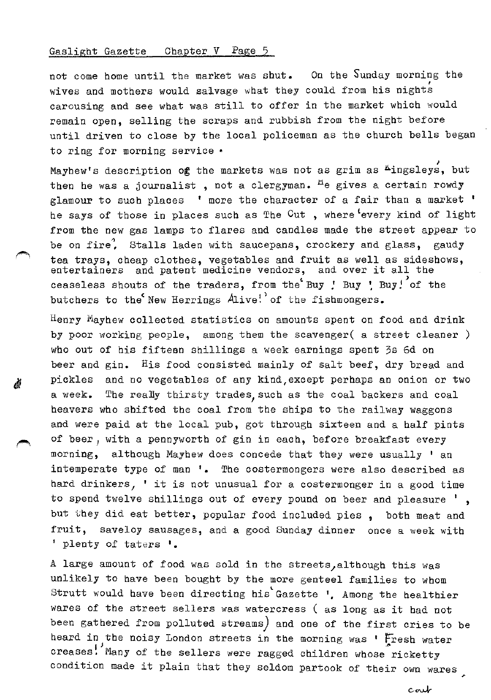Á

not come home until the market was shut. On the Sunday morning the wives and mothers would saivage what they could from his nights carousing and see what was still to offer in the market which would remain open, selling the scraps and rubbish from the night before until driven to close by the local policeman as the church bells began to ring for morning service •

Mayhew's description og the markets was not as grim as  $\sharp$ ingsleys, but then he was a journalist, not a clergyman.  $H$ e gives a certain rowdy glamour to such places ' more the character of a fair than a market ' he says of those in places such as The Cut, where every kind of light from the new gas lamps to flares and candles made the street appear to be on fire. Stalls laden with saucepans, crockery and glass, gaudy tea trays, cheap clothes, vegetables and fruit as well as sideshows, entertainers and patent medicine vendors, and over it all the ceaseless shouts of the traders, from the Buy *'* Buy ' Buy! of the butchers to the'New Herrings Alive!'of the fishmongers.

 $^{\text{H}}$ enry Mayhew collected statistics on amounts spent on food and drink by poor working people, among them the scavenger( a street cleaner) who out of his fifteen shillings a week earnings spent 3s 6d on beer and gin. His food consisted mainly of salt beef, dry bread and pickles and no vegetables of any kind,except perhaps an onion or two a week. The really thirsty trades, such as the coal backers and coal beavers who shifted the coal from the ships to the railway waggons and were paid at the local pub, got through sixteen and a half pints of beer *1* with a pennyworth of gin in each, before breakfast every morning, although Mayhew does concede that they were usually ' an intemperate type of man '. The costermongers were also described as hard drinkers, ' it is not unusual for a costermonger in a good time to spend twelve shillings out of every pound on beer and pleasure ' , but they did eat better, popular food included pies , both meat and fruit, saveloy sausages, and a good Sunday dinner once a week with *'* plenty of taters '•

A large amount of food was sold in the streets/although this was unlikely to have been bought by the more genteel families to whom Strutt would have been directing his~Gazette *',* Among the healthier wares of the street sellers was watercress ( as long as it had not been gathered from polluted streams) and one of the first cries to be heard in the noisy London streets in the morning was ' Fresh water creases. Many of the sellers were ragged children whose ricketty condition made it plain that they seldom partook of their own wares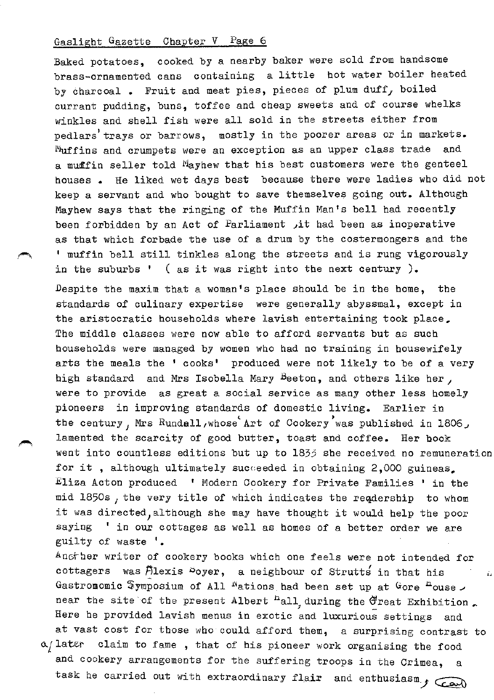Baked potatoes, cooked by a nearby baker were sold from handsome brass-ornamented cans containing a little hot water boiler heated by charcoal. Fruit and meat pies, pieces of plum  $\text{duff}_I$  boiled currant pudding, buns, toffee and cheap sweets and of course whelks winkles and shell fish were all sold in the streets either from pedlars' trays or barrows, mostly in the poorer areas or in markets. Muffins and crumpets were an exception as an upper class trade and a muffin seller told Mayhew that his best customers were the genteel houses • He liked wet days best because there were ladies who did not keep a servant and who bought to save themselves going out. Although Mayhew says that the ringing of the Muffin Man's bell had recently been forbidden by an Act of Parliament  $\mu$ it had been as inoperative as that which forbade the use of a drum by the costermongers and the <sup>1</sup>muffin bell still tinkles along the streets and is rung vigorously in the suburbs ' ( as it was right into the next century ).

Despite the maxim that a woman's place should be in the home, the standards of culinary expertise were generally abyssmal, except in the aristocratic households where lavish entertaining took place, The middle classes were now able to afford servants but as such households were managed by women who had no training in housewifely arts the meals the ' cooks' produced were not likely to be of a very high standard and Mrs Isobella Mary Beeton, and others like her, were to provide as great a social service as many other less homely pioneers in improving standards of domestic living. Earlier in the century, Mrs Rundall, whose Art of Cookery was published in 1806, lamented the scarcity of good butter, toast and coffee. Her book went into countless editions but up to 1833 she received no remuneration for it, although ultimately succeeded in obtaining 2,000 guineas. Eliza Acton produced 1 Modern Cookery for Private Families 1 in the mid 1850s *1* the very title of which indicates the reqdership to whom it was directed, although she may have thought it would help the poor saying ' in our cottages as well as homes of a better order we are guilty of waste '.

Angther writer of cookery books which one feels were not intended for cottagers was Alexis  $\infty$ oyer, a neighbour of Strutts in that his j, Gastromomic Symposium of All <sup>N</sup>ations had been set up at Gore <sup>n</sup>ouse. near the site of the present Albert <sup>n</sup>all during the Great Exhibition. Here he provided lavish menus in exotic and luxurious settings and at vast cost for those who could afford them, a surprising contrast to  $\alpha$ / later claim to fame, that of his pioneer work organising the food and cookery arrangements for the suffering troops in the Crimea, task he carried out with extraordinary flair and enthusiasm,  $f$   $\overline{\bigcirc}$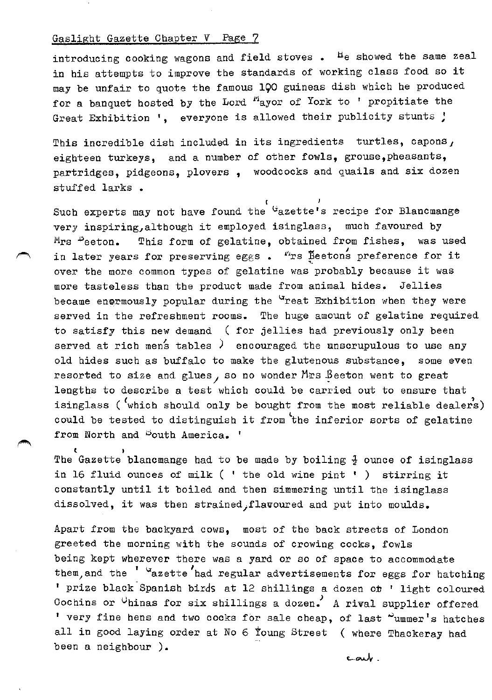$\epsilon$  )

introducing cooking wagons and field stoves. <sup>H</sup>e showed the same zeal in his attempts to improve the standards of working class food so it may be unfair to quote the famous 190 guineas dish which he produced for a banquet hosted by the Lord "ayor of York to ' propitiate the Great Exhibition ', everyone is allowed their publicity stunts !

This incredible dish included in its ingredients turtles, capons, eighteen turkeys, and a number of other fowls, grouse,pheasants, partridges, pidgeons, plovers , woodcocks and quails and six dozen stuffed larks •  $\sqrt{1 - \frac{1}{2}}$ 

Such experts may not have found the <sup>G</sup>azette's recipe for Blancmange very inspiring, although it employed isinglass, much favoured by  $M_{\rm TS}$   $\omega$  eeton. This form of gelatine, obtained from fishes, was used in later years for preserving eggs.  $"rs$  Beetons preference for it over the more common types of gelatine was probably because it was more tasteless than the product made from animal hides. Jellies became enermously popular during the <sup>u</sup>reat Exhibition when they were served in the refreshment rooms. The huge amount of gelatine required to satisfy this new demand ( for jellies had previously only been served at rich mens tables <sup>)</sup> encouraged the anscrupulous to use any old hides such as buffalo to make the glutenous substance, some even resorted to size and glues, so no wonder Mrs  $\beta$ eeton went to great lengths to describe a test which could be carried out to ensure that isinglass ( $'$ which should only be bought from the most reliable dealers) could be tested to distinguish it from the inferior sorts of gelatine from North and Pouth America. '

The Gazette blancmange had to be made by boiling  $\frac{1}{2}$  ounce of isinglass in 16 fluid ounces of milk ( ' the old wine pint ' ) stirring it constantly until it boiled and then simmering until the isinglass dissolved, it was then strained;flavoured and put into moulds.

Apart from the backyard cows, most of the back streets of London greeted the morning with the sounds of crowing cocks, fowls being kept wherever there was a yard or so of space to accommodate them, and the ' "azette had regular advertisements for eggs for hatching ' prize black Spanish birds at 12 shillings a dozen or ' light coloured Cochins or  $\theta$ hinas for six shillings a dozen. A rival supplier offered ' very fine hens and two cocks for sale cheap, of last "ummer's hatches all in good laying order at No 6 toung Street ( where Thackeray had been a neighbour ).

carly.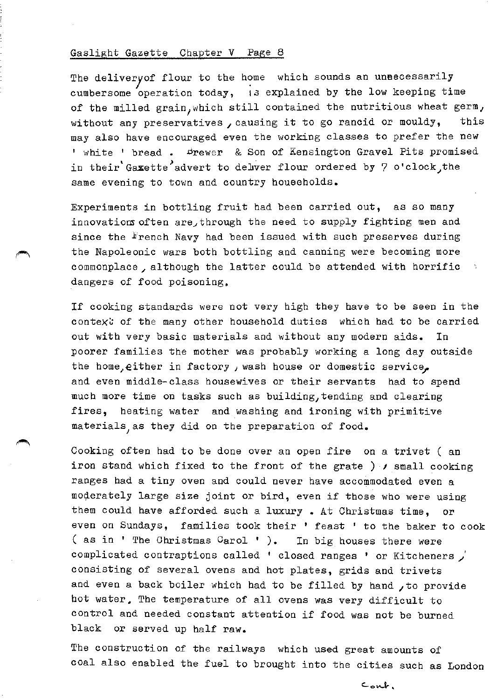The delivery of flour to the home which sounds an uneecessarily cumbersome operation today, 15 explained by the low keeping time of the milled grain, which still contained the nutritious wheat germ, without any preservatives, causing it to go rancid or mouldy, this may also have encouraged even the working classes to prefer the new ' white ' bread . Frewer & Son of Kensington Gravel Pits promised in their Gaxette advert to delwer flour ordered by 7 o'clock, the same evening to town and country households.

Experiments in bottling fruit had been carried out, as so many innovatioms often are, through the need to supply fighting men and since the  $\frac{F}{2}$ rench Navy had been issued with such preserves during the Napoleonic wars both bottling and canning were becoming more commonplace, although the latter could be attended with horrific dangers of food poisoning.

If cooking standards were not very high they have to be seen in the context of the many other household duties which had to be carried out with very basic materials and without any modern aids. In poorer families the mother was probably working a long day outside the home, either in factory, wash house or domestic service, and even middle-class housewives or their servants had to spend much more time on tasks such as building, tending and clearing fires, heating water and washing and ironing with primitive materials, as they did on the preparation of food.

Cooking often had to be done over an open fire on a trivet ( an iron stand which fixed to the front of the grate ) *1* small cooking ranges had a tiny oven and could never have accommodated even a moderately large size joint or bird, even if those who were using them could have afforded such a luxury. At Christmas time, even on Sundays, families took their ' feast ' to the baker to cook ( as in  $'$  The Christmas Carol  $'$  ). In big houses there were complicated contraptions called ' closed ranges ' or Kitcheners /' consisting of several ovens and hot plates, grids and trivets and even a back boiler which had to be filled by hand , to provide hot water. The temperature of all ovens was very difficult to control and needed constant attention if food was not be burned black or served up half raw.

The construction of the railways which used great amounts of coal also enabled the fuel to brought into the cities such as London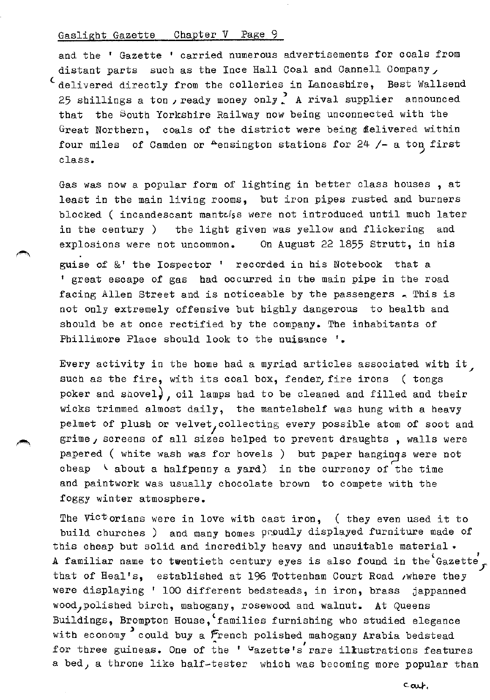and the ' Gazette ' carried numerous advertisements for coals from distant parts such as the Ince Hall Coal and Cannell Company, 'delivered directly from the colleries in Lancashire, Best Wallsend 25 shillings a ton, ready money only, A rival supplier announced that the South Yorkshire Railway now being unconnected with the Great Northern, coals of the district were being  $\mathbf d$ elivered within four miles of Camden or  $A$ ensington stations for  $24$  /- a ton first class.

Gas was now a popular form of lighting in better class houses , at least in the main living rooms, but iron pipes rusted and burners blocked ( incandescant mantalss were not introduced until much later in the century ) the light given was yellow and flickering and explosions were not uncommon. On August 22 1855 Strutt, in his

guise of &' the Iospector ' recorded in his Notebook that a 1 great escape of gas had occurred in the main pipe in the road facing Allen Street and is noticeable by the passengers . This is not only extremely offensive but highly dangerous to health and should be at once rectified by the company. The inhabitants of Phillimore Place should look to the nuisance '.

Every activity in the home had a myriad articles associated with it $\,$ such as the fire, with its coal box, fender, fire irons ( tongs poker and shovel,, oil lamps had to be cleaned and filled and their wicks trimmed almost daily, the mantelshelf was hung with a heavy pelmet of plush or velvet, collecting every possible atom of soot and grime, screens of all sizes helped to prevent draughts, walls were papered ( white wash was for hovels ) but paper hangings were not cheap  $\vee$  about a halfpenny a yard) in the currency of the time and paintwork was usually chocolate brown to compete with the foggy winter atmosphere.

The  $\forall i$ ctorians were in love with cast iron, (they even used it to build churches ) and many homes proudly displayed furniture made of this cheap but solid and incredibly heavy and unsuitable material • A familiar name to twentieth century eyes is also found in the Gazette. that of Heal's, established at 196 Tottenham Court Road ,where they were displaying ' 100 different bedsteads, in iron, brass jappanned wood, polished birch, mahogany, rosewood and walnut. At Queens Buildings, Brompton House,'families furnishing who studied elegance with economy could buy a French polished mahogany Arabia bedstead<br>for three guineas. One of the ' "azette's rare illustrations features a bed, a throne like half-tester whicb was becoming more popular than

 $c_{\alpha\downarrow}$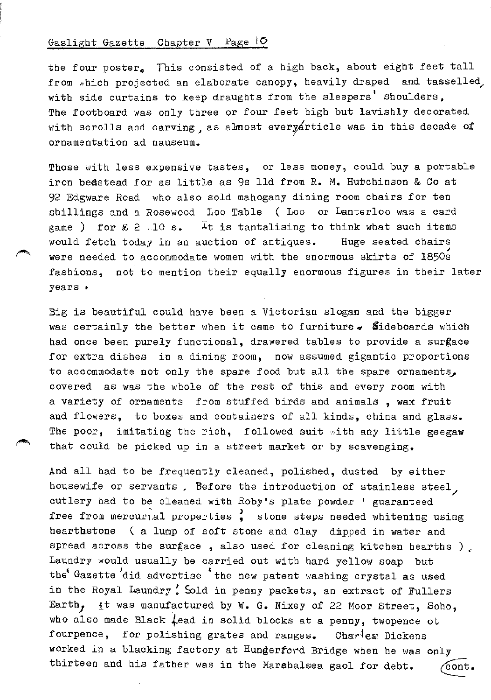the four poster. This consisted of a high back, about eight feet tall from which projected an elaborate canopy, heavily draped and tasselled, with side curtains to keep draughts from the sleepers' shoulders, The footboard was only three or four feet high but lavishly decorated with scrolls and carving, as almost every article was in this decade of ornamentation ad nauseum.

Those with less expensive tastes, or less money, could buy a portable iron bedstead for as little as 9s lld from R. M. Hutchinson & Co at 92 Edgware Road who also sold mahogany dining room chairs for ten shillings and a Rosewood Loo Table ( Loo or Lanterloo was a card game ) for  $\&$  2 .10 s. It is tantalising to think what such items would fetch today in an auction of antiques. Huge seated chairs were needed to accommodate women with the enormous skirts of 1850s fashions, not to mention their equally enormous figures in their later years •

Big is beautiful could have been a Victorian slogan and the bigger was certainly the better when it came to furniture  $\sim$  Sideboards which had once been purely functional, drawered tables to provide a surgace for extra dishes in a dining room, now assumed gigantic proportions to accommodate not only the spare food but all the spare ornaments, covered as was the whole of the rest of this and every room with a variety of ornaments from stuffed birds and animals , wax fruit and flowers, to boxes and containers of all kinds, china and glass. The poor, imitating the rich, followed suit with any little geegaw that could be picked up in a street market or by scavenging.

And all bad to be frequently cleaned, polished, dusted by either housewife or servants. Before the introduction of stainless steel, cutlery had to be cleaned with Roby's plate powder ' guaranteed free from mercurial properties, stone steps needed whitening using hearthstone ( a lump of soft stone and clay dipped in water and spread across the surface, also used for cleaning kitchen hearths ). Laundry would usually be carried out with hard yellow soap but the<sup>t</sup> Gazette did advertise <sup>\*</sup> the new patent washing crystal as used in the Royal Laundry! Sold in penny packets, an extract of Fullers Earth, it was manufactured by W. G. Nixey of 22 Moor Street, Soho, who also made Black  $\downarrow$ ead in solid blocks at a penny, twopence ot fourpence, for polishing grates and ranges. Charles Dickens worked in a blacking factory at Hungerford Bridge when he was only thirteen and his father was in the Marshalsea gaol for debt.  $\sqrt{\text{cont}}$ .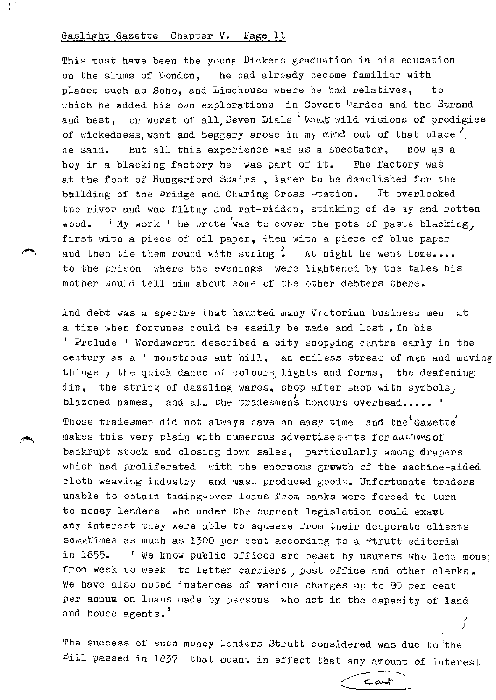This must have been the young Dickens graduation in his education on the slums of London, he had already become familiar with places such as Soho, and Limehouse where he had relatives, to which he added his own explorations in Covent Garden and the Strand and best, or worst of all, Seven Dials  $\frac{c}{c}$  What wild visions of prodigies of wickedness, want and beggary arose in my Mind out of that place he said. But all this experience was as a spectator, now as a boy in a blacking factory he was part of it. The factory was at the foot of Hungerford Stairs , later to be demolished for the biilding of the bridge and Charing Cross »tation. It overlooked the river and was filthy and rat-ridden, stinking of de ay and rotten wood.  $\cdot$  i My work ' he wrote was to cover the pots of paste blacking, first with a piece of oil paper, then with a piece of blue paper and then tie them round with string . At night he went home.... to the prison where the evenings were lightened by the tales his mother would tell him about some of the other debters there.

And debt was a spectre that haunted many Victorian business men at a time when fortunes could be easily be made and lost ,In his <sup>'</sup> Prelude ' Wordsworth described a city shopping centre early in the century as a ' monstrous ant hill, an endless stream of men and moving things, the quick dance of colours, lights and forms, the deafening din, the string of dazzling wares, shop after shop with symbols, blazoned names, and all the tradesmens honours overhead.....  $'$ Those tradesmen did not always have an easy time and the Gazette makes this very plain with numerous advertise. ents for auchous of bankrupt stock and closing down sales, particularly among frapers which had proliferated with the enormous grwwth of the machine-aided cloth weaving industry and mass produced goods. Unfortunate traders unable to obtain tiding-over loans from banks were forced to turn to money lenders who under the current legislation could exavt any interest they were able to squeeze from their desperate clients sometimes as much as 1300 per cent according to a  $P$ trutt editorial in 1855. 'We know public offices are beset by usurers who lend money from week to week to letter carriers, post office and other clerks. We have also noted instances of various charges up to 80 per cent per annum on loans made by persons who act in the capacity of land and house agents.<sup>7</sup>

The success of such money lenders Strutt considered was due to 'the bill passed in 1837 that meant in effect that any amount of interest ~~

./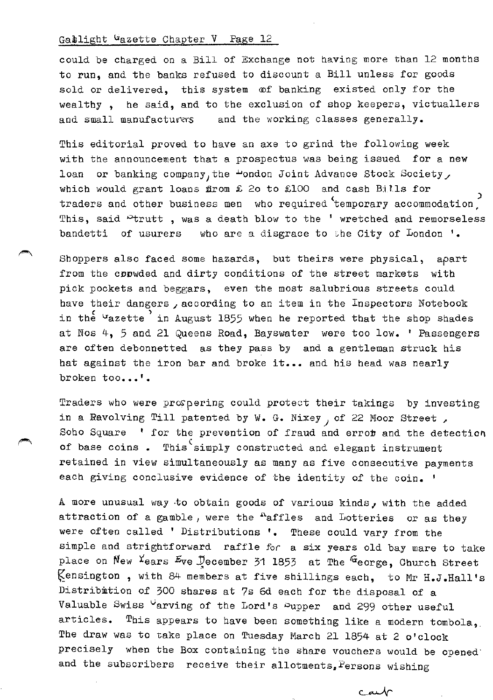could be charged on a Bill of Exchange not having more than 12 months to run, and the banks refused to discount a Bill unless for goods sold or delivered, this system @f banking existed only for the wealthy , he said, and to the exclusion of shop keepers, victuallers and small manufacturers and the working classes generally.

This editorial proved to have an axe to grind the following week with the announcement that a prospectus was being issued for a new loan or banking company, the  $\mu$ ondon Joint Advance Stock Society, which would grant loans firom £ 20 to £100 and cash Bills for traders and other business men who required temporary accommodation, This, said <sup>o</sup>trutt, was a death blow to the ' wretched and remorseless bandetti of usurers who are a disgrace to the City of London '.

Shoppers also faced some hazards, but theirs were physical, apart from the conwded and dirty conditions of the street markets with pick pockets and beggars, even the most salubrious streets could have their dangers, according to an item in the Inspectors Notebook in the  $u$ azette in August 1855 when he reported that the shop shades at Nos 4, 5 and 21 Queens Road, Bayswater were too low. ' Passengers are often debonnetted as they pass by and a gentleman struck his hat against the iron bar and broke it... and his head was nearly broken too...'.

Traders who were proppering could protect their takings by investing in a Ravolving Till patented by  $W_0$ . G. Nixey, of 22 Moor Street, Soho Square  $'$  for the prevention of fraud and error and the detection of base coins. This simply constructed and elegant instrument retained in view simultaneously as many as five consecutive payments each giving conclusive evidence of the identity of the coin. '

A more unusual way to obtain goods of various kinds, with the added attraction of a gamble, were the  $<sup>n</sup>$ affles and Lotteries or as they</sup> were often called ' Distributions '. These could vary from the simple and strightforward raffle for a six years old bay mare to take place on New Years Eve December 31 1853 at The  $G$ eorge, Church Street  $\mathcal{K}$ ensington, with 84 members at five shillings each, to Mr H.J.Hall's Distribution of 300 shares at 7s 6d each for the disposal of a Valuable Swiss varving of the Lord's Supper and 299 other useful articles. This appears to bave been something like a modern tombola, Tbe draw was to take place on Tuesday March 21 1854 at 2 o'clock precisely when the Box containing the share vouchers would be opened· and the subscribers receive their allotments, Persons wishing

بملتف